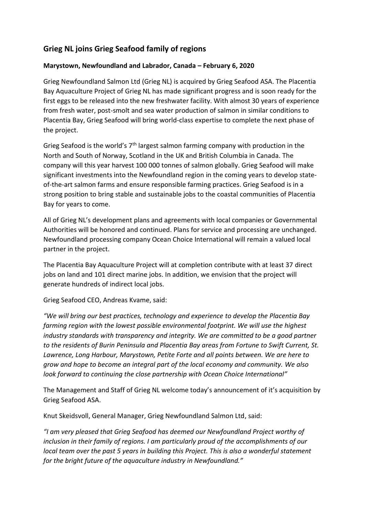# **Grieg NL joins Grieg Seafood family of regions**

## **Marystown, Newfoundland and Labrador, Canada – February 6, 2020**

Grieg Newfoundland Salmon Ltd (Grieg NL) is acquired by Grieg Seafood ASA. The Placentia Bay Aquaculture Project of Grieg NL has made significant progress and is soon ready for the first eggs to be released into the new freshwater facility. With almost 30 years of experience from fresh water, post-smolt and sea water production of salmon in similar conditions to Placentia Bay, Grieg Seafood will bring world-class expertise to complete the next phase of the project.

Grieg Seafood is the world's  $7<sup>th</sup>$  largest salmon farming company with production in the North and South of Norway, Scotland in the UK and British Columbia in Canada. The company will this year harvest 100 000 tonnes of salmon globally. Grieg Seafood will make significant investments into the Newfoundland region in the coming years to develop stateof-the-art salmon farms and ensure responsible farming practices. Grieg Seafood is in a strong position to bring stable and sustainable jobs to the coastal communities of Placentia Bay for years to come.

All of Grieg NL's development plans and agreements with local companies or Governmental Authorities will be honored and continued. Plans for service and processing are unchanged. Newfoundland processing company Ocean Choice International will remain a valued local partner in the project.

The Placentia Bay Aquaculture Project will at completion contribute with at least 37 direct jobs on land and 101 direct marine jobs. In addition, we envision that the project will generate hundreds of indirect local jobs.

Grieg Seafood CEO, Andreas Kvame, said:

*"We will bring our best practices, technology and experience to develop the Placentia Bay farming region with the lowest possible environmental footprint. We will use the highest industry standards with transparency and integrity. We are committed to be a good partner to the residents of Burin Peninsula and Placentia Bay areas from Fortune to Swift Current, St. Lawrence, Long Harbour, Marystown, Petite Forte and all points between. We are here to grow and hope to become an integral part of the local economy and community. We also look forward to continuing the close partnership with Ocean Choice International"*

The Management and Staff of Grieg NL welcome today's announcement of it's acquisition by Grieg Seafood ASA.

Knut Skeidsvoll, General Manager, Grieg Newfoundland Salmon Ltd, said:

*"I am very pleased that Grieg Seafood has deemed our Newfoundland Project worthy of inclusion in their family of regions. I am particularly proud of the accomplishments of our local team over the past 5 years in building this Project. This is also a wonderful statement for the bright future of the aquaculture industry in Newfoundland."*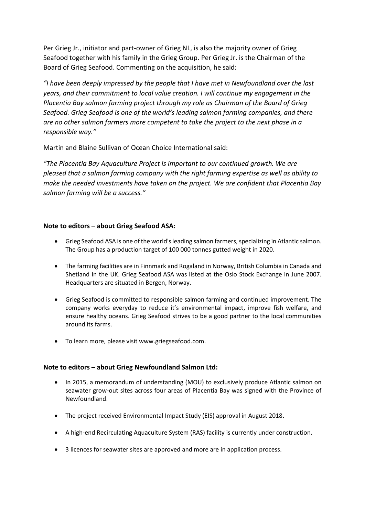Per Grieg Jr., initiator and part-owner of Grieg NL, is also the majority owner of Grieg Seafood together with his family in the Grieg Group. Per Grieg Jr. is the Chairman of the Board of Grieg Seafood. Commenting on the acquisition, he said:

*"I have been deeply impressed by the people that I have met in Newfoundland over the last years, and their commitment to local value creation. I will continue my engagement in the Placentia Bay salmon farming project through my role as Chairman of the Board of Grieg Seafood. Grieg Seafood is one of the world's leading salmon farming companies, and there are no other salmon farmers more competent to take the project to the next phase in a responsible way."*

Martin and Blaine Sullivan of Ocean Choice International said:

*"The Placentia Bay Aquaculture Project is important to our continued growth. We are pleased that a salmon farming company with the right farming expertise as well as ability to make the needed investments have taken on the project. We are confident that Placentia Bay salmon farming will be a success."*

### **Note to editors – about Grieg Seafood ASA:**

- Grieg Seafood ASA is one of the world's leading salmon farmers, specializing in Atlantic salmon. The Group has a production target of 100 000 tonnes gutted weight in 2020.
- The farming facilities are in Finnmark and Rogaland in Norway, British Columbia in Canada and Shetland in the UK. Grieg Seafood ASA was listed at the Oslo Stock Exchange in June 2007. Headquarters are situated in Bergen, Norway.
- Grieg Seafood is committed to responsible salmon farming and continued improvement. The company works everyday to reduce it's environmental impact, improve fish welfare, and ensure healthy oceans. Grieg Seafood strives to be a good partner to the local communities around its farms.
- To learn more, please visit www.griegseafood.com.

#### **Note to editors – about Grieg Newfoundland Salmon Ltd:**

- In 2015, a memorandum of understanding (MOU) to exclusively produce Atlantic salmon on seawater grow-out sites across four areas of Placentia Bay was signed with the Province of Newfoundland.
- The project received Environmental Impact Study (EIS) approval in August 2018.
- A high-end Recirculating Aquaculture System (RAS) facility is currently under construction.
- 3 licences for seawater sites are approved and more are in application process.